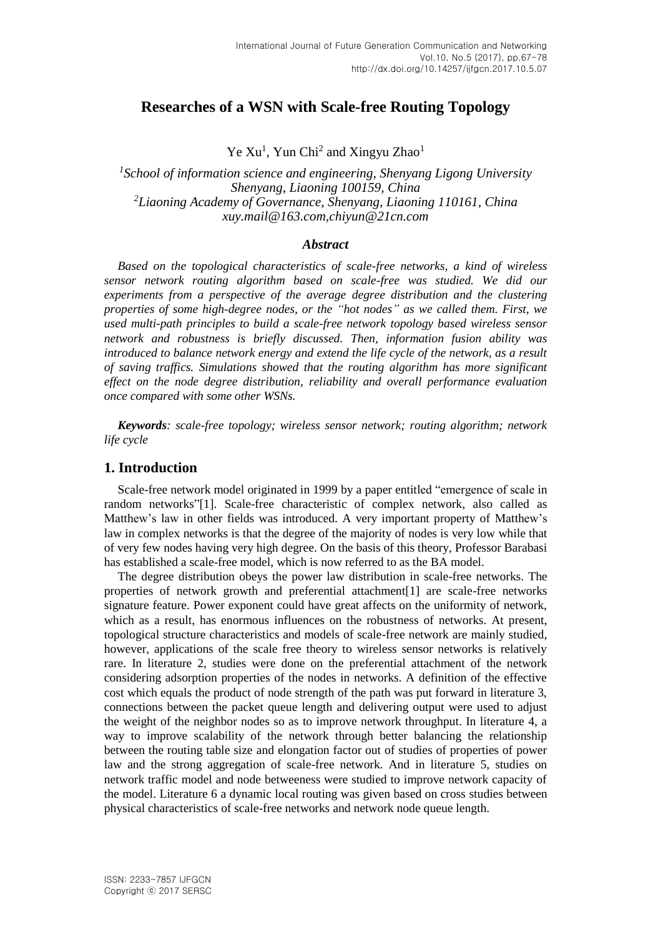# **Researches of a WSN with Scale-free Routing Topology**

Ye Xu<sup>1</sup>, Yun Chi<sup>2</sup> and Xingyu Zhao<sup>1</sup>

*1 School of information science and engineering, Shenyang Ligong University Shenyang, Liaoning 100159, China <sup>2</sup>Liaoning Academy of Governance, Shenyang, Liaoning 110161, China xuy.mail@163.com,chiyun@21cn.com*

### *Abstract*

*Based on the topological characteristics of scale-free networks, a kind of wireless sensor network routing algorithm based on scale-free was studied. We did our experiments from a perspective of the average degree distribution and the clustering properties of some high-degree nodes, or the "hot nodes" as we called them. First, we used multi-path principles to build a scale-free network topology based wireless sensor network and robustness is briefly discussed. Then, information fusion ability was introduced to balance network energy and extend the life cycle of the network, as a result of saving traffics. Simulations showed that the routing algorithm has more significant effect on the node degree distribution, reliability and overall performance evaluation once compared with some other WSNs.*

*Keywords: scale-free topology; wireless sensor network; routing algorithm; network life cycle*

### **1. Introduction**

Scale-free network model originated in 1999 by a paper entitled "emergence of scale in random networks"[1]. Scale-free characteristic of complex network, also called as Matthew's law in other fields was introduced. A very important property of Matthew's law in complex networks is that the degree of the majority of nodes is very low while that of very few nodes having very high degree. On the basis of this theory, Professor Barabasi has established a scale-free model, which is now referred to as the BA model.

The degree distribution obeys the power law distribution in scale-free networks. The properties of network growth and preferential attachment[1] are scale-free networks signature feature. Power exponent could have great affects on the uniformity of network, which as a result, has enormous influences on the robustness of networks. At present, topological structure characteristics and models of scale-free network are mainly studied, however, applications of the scale free theory to wireless sensor networks is relatively rare. In literature 2, studies were done on the preferential attachment of the network considering adsorption properties of the nodes in networks. A definition of the effective cost which equals the product of node strength of the path was put forward in literature 3, connections between the packet queue length and delivering output were used to adjust the weight of the neighbor nodes so as to improve network throughput. In literature 4, a way to improve scalability of the network through better balancing the relationship between the routing table size and elongation factor out of studies of properties of power law and the strong aggregation of scale-free network. And in literature 5, studies on network traffic model and node betweeness were studied to improve network capacity of the model. Literature 6 a dynamic local routing was given based on cross studies between physical characteristics of scale-free networks and network node queue length.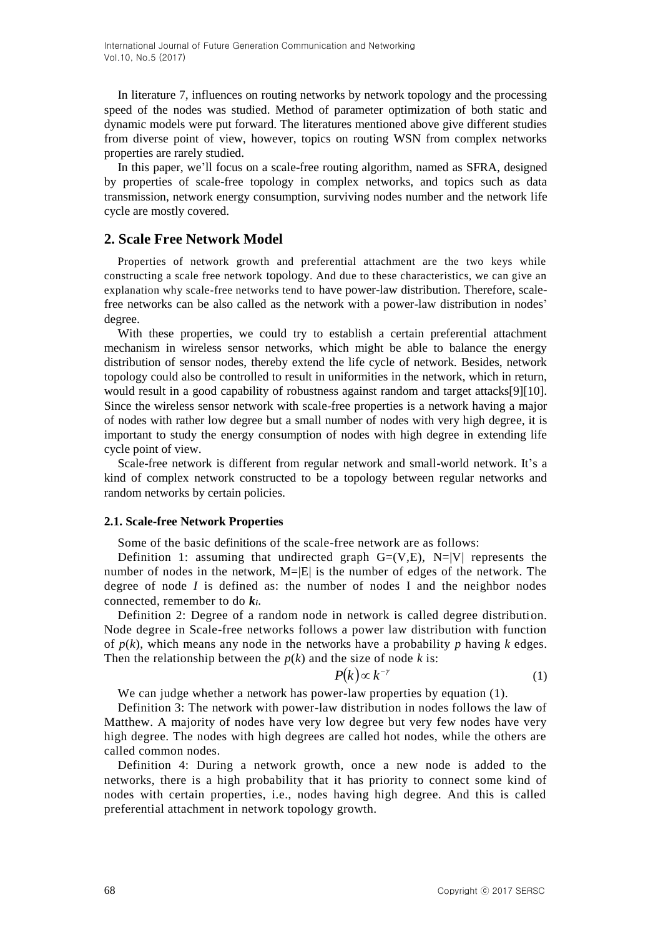In literature 7, influences on routing networks by network topology and the processing speed of the nodes was studied. Method of parameter optimization of both static and dynamic models were put forward. The literatures mentioned above give different studies from diverse point of view, however, topics on routing WSN from complex networks properties are rarely studied.

In this paper, we'll focus on a scale-free routing algorithm, named as SFRA, designed by properties of scale-free topology in complex networks, and topics such as data transmission, network energy consumption, surviving nodes number and the network life cycle are mostly covered.

### **2. Scale Free Network Model**

Properties of network growth and preferential attachment are the two keys while constructing a scale free network topology. And due to these characteristics, we can give an explanation why scale-free networks tend to have power-law distribution. Therefore, scalefree networks can be also called as the network with a power-law distribution in nodes' degree.

With these properties, we could try to establish a certain preferential attachment mechanism in wireless sensor networks, which might be able to balance the energy distribution of sensor nodes, thereby extend the life cycle of network. Besides, network topology could also be controlled to result in uniformities in the network, which in return, would result in a good capability of robustness against random and target attacks[9][10]. Since the wireless sensor network with scale-free properties is a network having a major of nodes with rather low degree but a small number of nodes with very high degree, it is important to study the energy consumption of nodes with high degree in extending life cycle point of view.

Scale-free network is different from regular network and small-world network. It's a kind of complex network constructed to be a topology between regular networks and random networks by certain policies.

#### **2.1. Scale-free Network Properties**

Some of the basic definitions of the scale-free network are as follows:

Definition 1: assuming that undirected graph  $G=(V,E)$ ,  $N=|V|$  represents the number of nodes in the network,  $M=|E|$  is the number of edges of the network. The degree of node  $I$  is defined as: the number of nodes  $I$  and the neighbor nodes connected, remember to do *ki*.

Definition 2: Degree of a random node in network is called degree distribution. Node degree in Scale-free networks follows a power law distribution with function of  $p(k)$ , which means any node in the networks have a probability  $p$  having  $k$  edges. Then the relationship between the  $p(k)$  and the size of node  $k$  is:

$$
P(k) \propto k^{-\gamma} \tag{1}
$$

We can judge whether a network has power-law properties by equation (1).

Definition 3: The network with power-law distribution in nodes follows the law of Matthew. A majority of nodes have very low degree but very few nodes have very high degree. The nodes with high degrees are called hot nodes, while the others are called common nodes.

Definition 4: During a network growth, once a new node is added to the networks, there is a high probability that it has priority to connect some kind of nodes with certain properties, i.e., nodes having high degree. And this is called preferential attachment in network topology growth.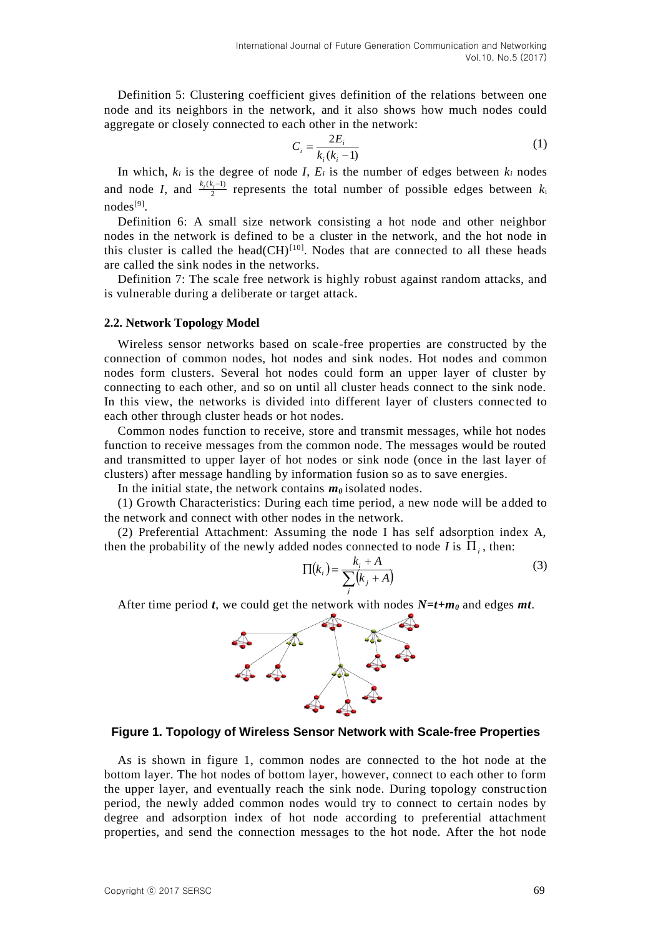Definition 5: Clustering coefficient gives definition of the relations between one node and its neighbors in the network, and it also shows how much nodes could aggregate or closely connected to each other in the network:

$$
C_i = \frac{2E_i}{k_i(k_i - 1)}\tag{1}
$$

In which,  $k_i$  is the degree of node *I*,  $E_i$  is the number of edges between  $k_i$  nodes and node *I*, and  $\frac{k_i(k_i-1)}{2}$  represents the total number of possible edges between  $k_i$ nodes<sup>[9]</sup>.

Definition 6: A small size network consisting a hot node and other neighbor nodes in the network is defined to be a cluster in the network, and the hot node in this cluster is called the head( $CH$ )<sup>[10]</sup>. Nodes that are connected to all these heads are called the sink nodes in the networks.

Definition 7: The scale free network is highly robust against random attacks, and is vulnerable during a deliberate or target attack.

#### **2.2. Network Topology Model**

Wireless sensor networks based on scale-free properties are constructed by the connection of common nodes, hot nodes and sink nodes. Hot nodes and common nodes form clusters. Several hot nodes could form an upper layer of cluster by connecting to each other, and so on until all cluster heads connect to the sink node. In this view, the networks is divided into different layer of clusters connected to each other through cluster heads or hot nodes.

Common nodes function to receive, store and transmit messages, while hot nodes function to receive messages from the common node. The messages would be routed and transmitted to upper layer of hot nodes or sink node (once in the last layer of clusters) after message handling by information fusion so as to save energies.

In the initial state, the network contains  $m<sub>0</sub>$  isolated nodes.

(1) Growth Characteristics: During each time period, a new node will be added to the network and connect with other nodes in the network.

(2) Preferential Attachment: Assuming the node I has self adsorption index A, then the probability of the newly added nodes connected to node *I* is  $\Pi_i$ , then:

$$
\Pi(k_i) = \frac{k_i + A}{\sum (k_j + A)}\tag{3}
$$

After time period *t*, we could get the network with nodes *N=t+m<sup>0</sup>* and edges *mt*.

*j*



#### **Figure 1. Topology of Wireless Sensor Network with Scale-free Properties**

As is shown in figure 1, common nodes are connected to the hot node at the bottom layer. The hot nodes of bottom layer, however, connect to each other to form the upper layer, and eventually reach the sink node. During topology construction period, the newly added common nodes would try to connect to certain nodes by degree and adsorption index of hot node according to preferential attachment properties, and send the connection messages to the hot node. After the hot node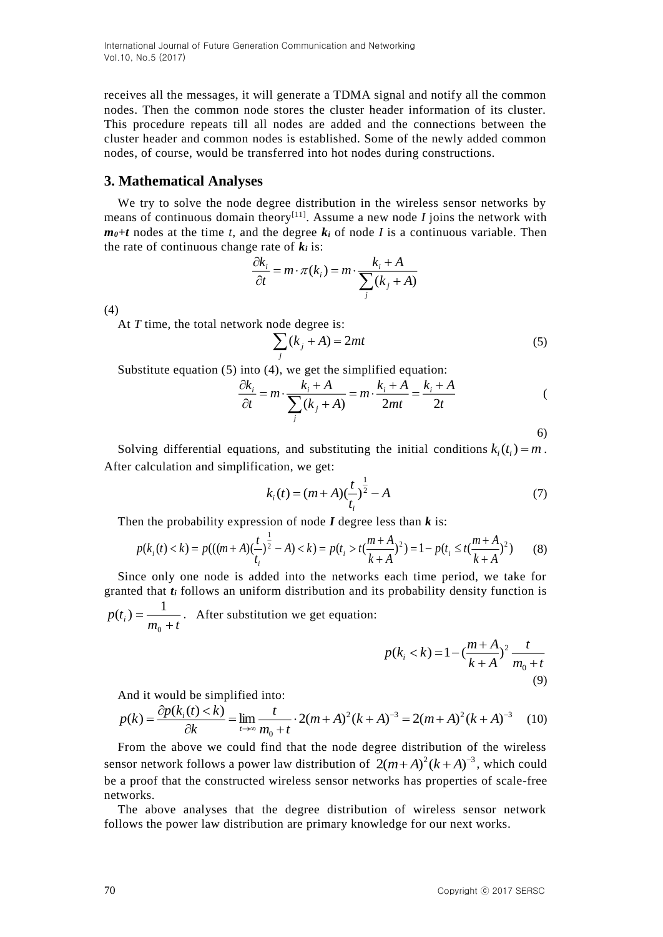International Journal of Future Generation Communication and Networking Vol.10, No.5 (2017)

receives all the messages, it will generate a TDMA signal and notify all the common nodes. Then the common node stores the cluster header information of its cluster. This procedure repeats till all nodes are added and the connections between the cluster header and common nodes is established. Some of the newly added common nodes, of course, would be transferred into hot nodes during constructions.

### **3. Mathematical Analyses**

We try to solve the node degree distribution in the wireless sensor networks by means of continuous domain theory<sup>[11]</sup>. Assume a new node  $I$  joins the network with  $m_0$ +*t* nodes at the time *t*, and the degree  $k_i$  of node *I* is a continuous variable. Then the rate of continuous change rate of  $k_i$  is:

$$
\frac{\partial k_i}{\partial t} = m \cdot \pi(k_i) = m \cdot \frac{k_i + A}{\sum_j (k_j + A)}
$$

(4)

At *T* time, the total network node degree is:

$$
\sum_{j} (k_j + A) = 2mt
$$
 (5)

Substitute equation (5) into (4), we get the simplified equation:

$$
\frac{\partial k_i}{\partial t} = m \cdot \frac{k_i + A}{\sum_j (k_j + A)} = m \cdot \frac{k_i + A}{2mt} = \frac{k_i + A}{2t}
$$

6)

Solving differential equations, and substituting the initial conditions  $k_i(t_i) = m$ . After calculation and simplification, we get:

$$
k_i(t) = (m+A)\left(\frac{t}{t_i}\right)^{\frac{1}{2}} - A \tag{7}
$$

Then the probability expression of node *I* degree less than *k* is:

$$
p(k_i(t) < k) = p(((m + A)\left(\frac{t}{t_i}\right)^{\frac{1}{2}} - A) < k) = p(t_i > t\left(\frac{m + A}{k + A}\right)^2) = 1 - p(t_i \leq t\left(\frac{m + A}{k + A}\right)^2) \tag{8}
$$

Since only one node is added into the networks each time period, we take for granted that *t<sup>i</sup>* follows an uniform distribution and its probability density function is  $p(t_i) = \frac{m_0 + t}{m_0 + t}$  $(t_i) = \frac{1}{t_i}$ . After substitution we get equation:

$$
p(k_i < k) = 1 - \left(\frac{m+A}{k+A}\right)^2 \frac{t}{m_0 + t}
$$
\n(9)

And it would be simplified into:

$$
p(k) = \frac{\partial p(k_i(t) < k)}{\partial k} = \lim_{t \to \infty} \frac{t}{m_0 + t} \cdot 2(m + A)^2 (k + A)^{-3} = 2(m + A)^2 (k + A)^{-3} \tag{10}
$$

From the above we could find that the node degree distribution of the wireless sensor network follows a power law distribution of  $2(m+A)^2(k+A)^{-3}$ , which could be a proof that the constructed wireless sensor networks has properties of scale-free networks.

The above analyses that the degree distribution of wireless sensor network follows the power law distribution are primary knowledge for our next works.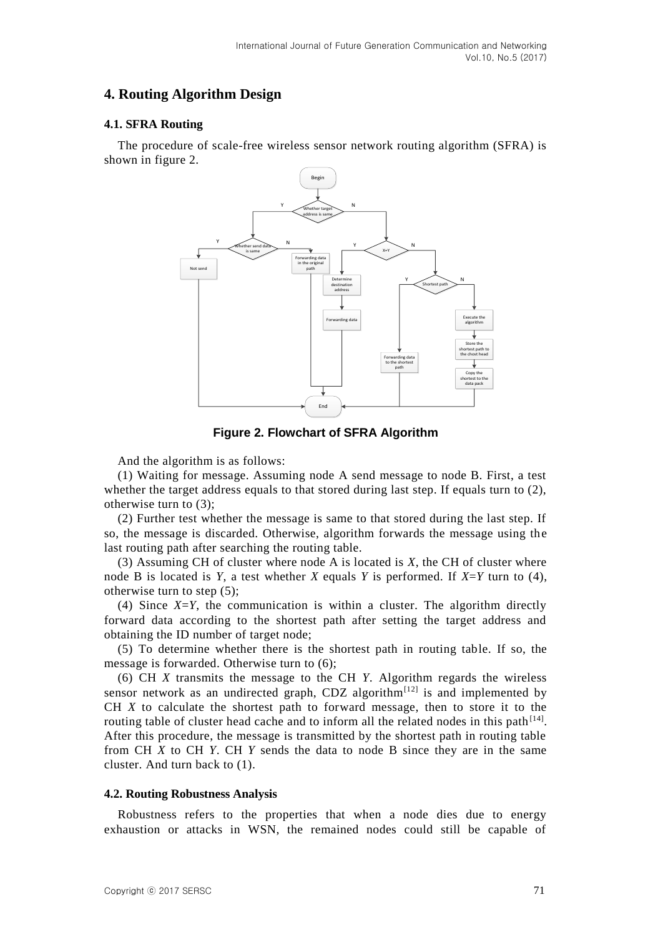## **4. Routing Algorithm Design**

### **4.1. SFRA Routing**

The procedure of scale-free wireless sensor network routing algorithm (SFRA) is shown in figure 2.



**Figure 2. Flowchart of SFRA Algorithm** 

And the algorithm is as follows:

(1) Waiting for message. Assuming node A send message to node B. First, a test whether the target address equals to that stored during last step. If equals turn to (2), otherwise turn to (3);

(2) Further test whether the message is same to that stored during the last step. If so, the message is discarded. Otherwise, algorithm forwards the message using the last routing path after searching the routing table.

(3) Assuming CH of cluster where node A is located is *X*, the CH of cluster where node B is located is *Y*, a test whether *X* equals *Y* is performed. If *X*=*Y* turn to (4), otherwise turn to step (5);

(4) Since  $X=Y$ , the communication is within a cluster. The algorithm directly forward data according to the shortest path after setting the target address and obtaining the ID number of target node;

(5) To determine whether there is the shortest path in routing table. If so, the message is forwarded. Otherwise turn to (6);

(6) CH *X* transmits the message to the CH *Y*. Algorithm regards the wireless sensor network as an undirected graph, CDZ algorithm<sup>[12]</sup> is and implemented by CH *X* to calculate the shortest path to forward message, then to store it to the routing table of cluster head cache and to inform all the related nodes in this path  $[14]$ . After this procedure, the message is transmitted by the shortest path in routing table from CH *X* to CH *Y*. CH *Y* sends the data to node B since they are in the same cluster. And turn back to (1).

#### **4.2. Routing Robustness Analysis**

Robustness refers to the properties that when a node dies due to energy exhaustion or attacks in WSN, the remained nodes could still be capable of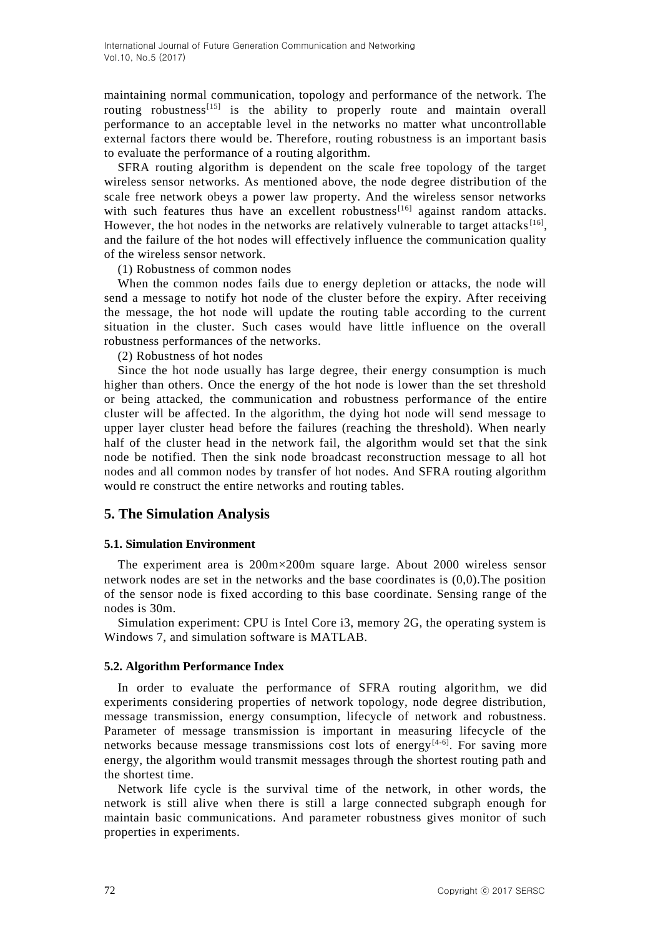maintaining normal communication, topology and performance of the network. The routing robustness<sup>[15]</sup> is the ability to properly route and maintain overall performance to an acceptable level in the networks no matter what uncontrollable external factors there would be. Therefore, routing robustness is an important basis to evaluate the performance of a routing algorithm.

SFRA routing algorithm is dependent on the scale free topology of the target wireless sensor networks. As mentioned above, the node degree distribution of the scale free network obeys a power law property. And the wireless sensor networks with such features thus have an excellent robustness<sup>[16]</sup> against random attacks. However, the hot nodes in the networks are relatively vulnerable to target attacks<sup>[16]</sup>, and the failure of the hot nodes will effectively influence the communication quality of the wireless sensor network.

(1) Robustness of common nodes

When the common nodes fails due to energy depletion or attacks, the node will send a message to notify hot node of the cluster before the expiry. After receiving the message, the hot node will update the routing table according to the current situation in the cluster. Such cases would have little influence on the overall robustness performances of the networks.

(2) Robustness of hot nodes

Since the hot node usually has large degree, their energy consumption is much higher than others. Once the energy of the hot node is lower than the set threshold or being attacked, the communication and robustness performance of the entire cluster will be affected. In the algorithm, the dying hot node will send message to upper layer cluster head before the failures (reaching the threshold). When nearly half of the cluster head in the network fail, the algorithm would set that the sink node be notified. Then the sink node broadcast reconstruction message to all hot nodes and all common nodes by transfer of hot nodes. And SFRA routing algorithm would re construct the entire networks and routing tables.

### **5. The Simulation Analysis**

#### **5.1. Simulation Environment**

The experiment area is 200m×200m square large. About 2000 wireless sensor network nodes are set in the networks and the base coordinates is (0,0).The position of the sensor node is fixed according to this base coordinate. Sensing range of the nodes is 30m.

Simulation experiment: CPU is Intel Core i3, memory 2G, the operating system is Windows 7, and simulation software is MATLAB.

#### **5.2. Algorithm Performance Index**

In order to evaluate the performance of SFRA routing algorithm, we did experiments considering properties of network topology, node degree distribution, message transmission, energy consumption, lifecycle of network and robustness. Parameter of message transmission is important in measuring lifecycle of the networks because message transmissions cost lots of energy<sup>[4-6]</sup>. For saving more energy, the algorithm would transmit messages through the shortest routing path and the shortest time.

Network life cycle is the survival time of the network, in other words, the network is still alive when there is still a large connected subgraph enough for maintain basic communications. And parameter robustness gives monitor of such properties in experiments.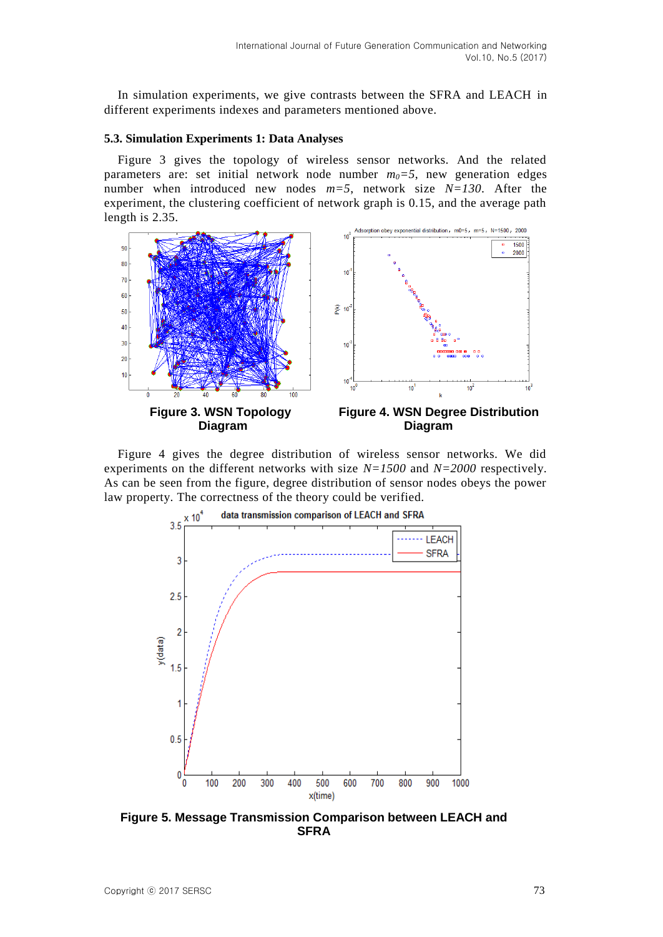In simulation experiments, we give contrasts between the SFRA and LEACH in different experiments indexes and parameters mentioned above.

#### **5.3. Simulation Experiments 1: Data Analyses**

Figure 3 gives the topology of wireless sensor networks. And the related parameters are: set initial network node number  $m_0 = 5$ , new generation edges number when introduced new nodes *m=5*, network size *N=130*. After the experiment, the clustering coefficient of network graph is 0.15, and the average path length is 2.35.



Figure 4 gives the degree distribution of wireless sensor networks. We did experiments on the different networks with size *N=1500* and *N=2000* respectively. As can be seen from the figure, degree distribution of sensor nodes obeys the power law property. The correctness of the theory could be verified.



**Figure 5. Message Transmission Comparison between LEACH and SFRA**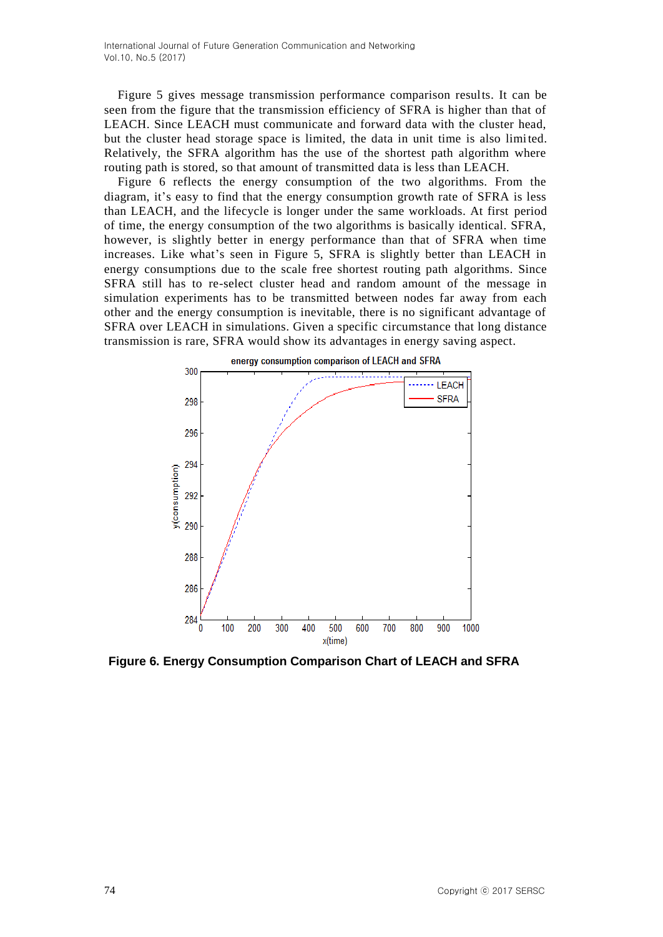International Journal of Future Generation Communication and Networking Vol.10, No.5 (2017)

Figure 5 gives message transmission performance comparison results. It can be seen from the figure that the transmission efficiency of SFRA is higher than that of LEACH. Since LEACH must communicate and forward data with the cluster head, but the cluster head storage space is limited, the data in unit time is also limited. Relatively, the SFRA algorithm has the use of the shortest path algorithm where routing path is stored, so that amount of transmitted data is less than LEACH.

Figure 6 reflects the energy consumption of the two algorithms. From the diagram, it's easy to find that the energy consumption growth rate of SFRA is less than LEACH, and the lifecycle is longer under the same workloads. At first period of time, the energy consumption of the two algorithms is basically identical. SFRA, however, is slightly better in energy performance than that of SFRA when time increases. Like what's seen in Figure 5, SFRA is slightly better than LEACH in energy consumptions due to the scale free shortest routing path algorithms. Since SFRA still has to re-select cluster head and random amount of the message in simulation experiments has to be transmitted between nodes far away from each other and the energy consumption is inevitable, there is no significant advantage of SFRA over LEACH in simulations. Given a specific circumstance that long distance transmission is rare, SFRA would show its advantages in energy saving aspect.



**Figure 6. Energy Consumption Comparison Chart of LEACH and SFRA**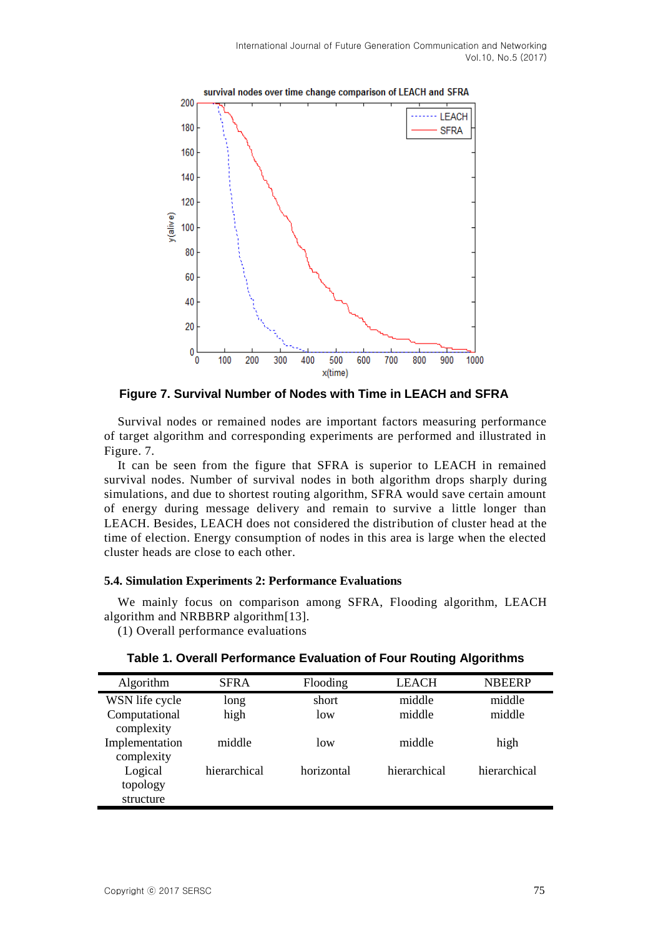

**Figure 7. Survival Number of Nodes with Time in LEACH and SFRA**

Survival nodes or remained nodes are important factors measuring performance of target algorithm and corresponding experiments are performed and illustrated in Figure. 7.

It can be seen from the figure that SFRA is superior to LEACH in remained survival nodes. Number of survival nodes in both algorithm drops sharply during simulations, and due to shortest routing algorithm, SFRA would save certain amount of energy during message delivery and remain to survive a little longer than LEACH. Besides, LEACH does not considered the distribution of cluster head at the time of election. Energy consumption of nodes in this area is large when the elected cluster heads are close to each other.

#### **5.4. Simulation Experiments 2: Performance Evaluations**

We mainly focus on comparison among SFRA, Flooding algorithm, LEACH algorithm and NRBBRP algorithm[13].

(1) Overall performance evaluations

| Algorithm      | <b>SFRA</b>  | Flooding   | <b>LEACH</b> | <b>NBEERP</b> |
|----------------|--------------|------------|--------------|---------------|
| WSN life cycle | long         | short      | middle       | middle        |
| Computational  | high         | low        | middle       | middle        |
| complexity     |              |            |              |               |
| Implementation | middle       | low        | middle       | high          |
| complexity     |              |            |              |               |
| Logical        | hierarchical | horizontal | hierarchical | hierarchical  |
| topology       |              |            |              |               |
| structure      |              |            |              |               |

**Table 1. Overall Performance Evaluation of Four Routing Algorithms**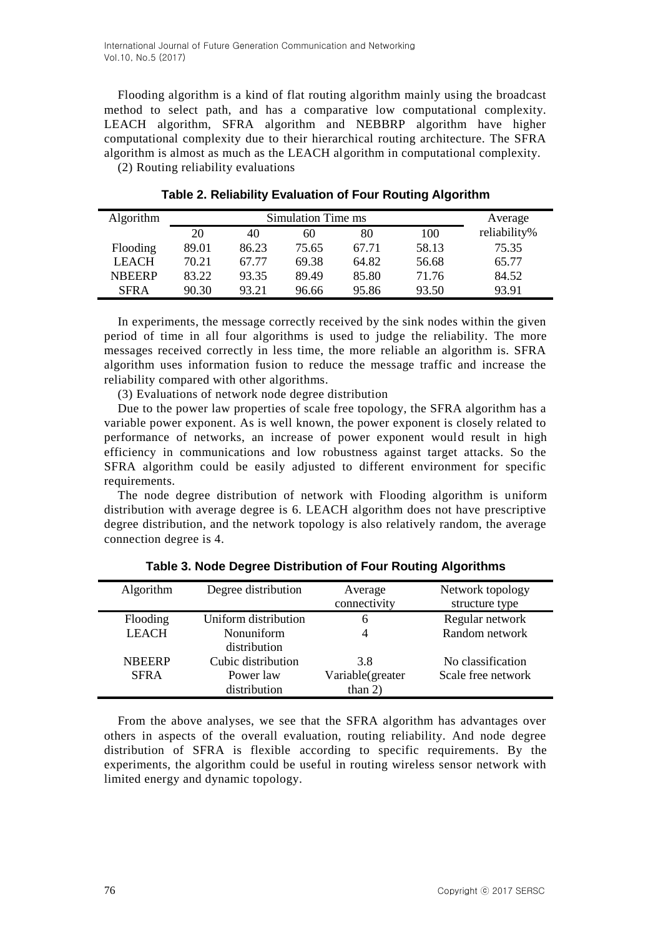Flooding algorithm is a kind of flat routing algorithm mainly using the broadcast method to select path, and has a comparative low computational complexity. LEACH algorithm, SFRA algorithm and NEBBRP algorithm have higher computational complexity due to their hierarchical routing architecture. The SFRA algorithm is almost as much as the LEACH algorithm in computational complexity. (2) Routing reliability evaluations

| Algorithm     | Simulation Time ms |       |       |       |       | Average      |
|---------------|--------------------|-------|-------|-------|-------|--------------|
|               | 20                 | 40    | 60    | 80    | 100   | reliability% |
| Flooding      | 89.01              | 86.23 | 75.65 | 67.71 | 58.13 | 75.35        |
| <b>LEACH</b>  | 70.21              | 67.77 | 69.38 | 64.82 | 56.68 | 65.77        |
| <b>NBEERP</b> | 83.22              | 93.35 | 89.49 | 85.80 | 71.76 | 84.52        |
| <b>SFRA</b>   | 90.30              | 93.21 | 96.66 | 95.86 | 93.50 | 93.91        |

**Table 2. Reliability Evaluation of Four Routing Algorithm**

In experiments, the message correctly received by the sink nodes within the given period of time in all four algorithms is used to judge the reliability. The more messages received correctly in less time, the more reliable an algorithm is. SFRA algorithm uses information fusion to reduce the message traffic and increase the reliability compared with other algorithms.

(3) Evaluations of network node degree distribution

Due to the power law properties of scale free topology, the SFRA algorithm has a variable power exponent. As is well known, the power exponent is closely related to performance of networks, an increase of power exponent would result in high efficiency in communications and low robustness against target attacks. So the SFRA algorithm could be easily adjusted to different environment for specific requirements.

The node degree distribution of network with Flooding algorithm is uniform distribution with average degree is 6. LEACH algorithm does not have prescriptive degree distribution, and the network topology is also relatively random, the average connection degree is 4.

| Algorithm     | Degree distribution  | Average<br>connectivity | Network topology<br>structure type |
|---------------|----------------------|-------------------------|------------------------------------|
|               |                      |                         |                                    |
| Flooding      | Uniform distribution | 6                       | Regular network                    |
| <b>LEACH</b>  | Nonuniform           | 4                       | Random network                     |
|               | distribution         |                         |                                    |
| <b>NBEERP</b> | Cubic distribution   | 3.8                     | No classification                  |
| <b>SFRA</b>   | Power law            | Variable(greater        | Scale free network                 |
|               | distribution         | than $2)$               |                                    |

**Table 3. Node Degree Distribution of Four Routing Algorithms**

From the above analyses, we see that the SFRA algorithm has advantages over others in aspects of the overall evaluation, routing reliability. And node degree distribution of SFRA is flexible according to specific requirements. By the experiments, the algorithm could be useful in routing wireless sensor network with limited energy and dynamic topology.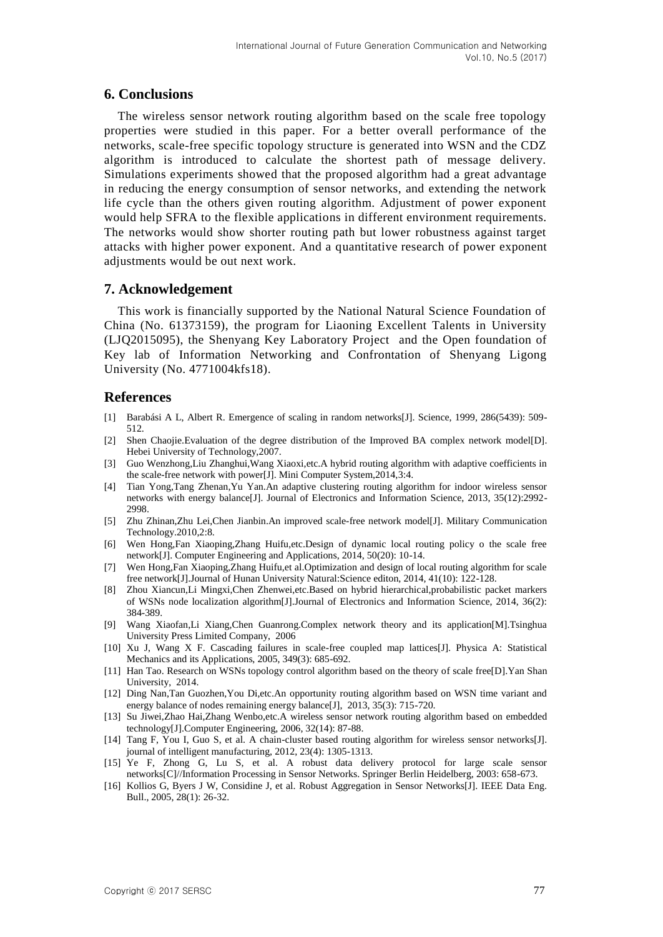### **6. Conclusions**

The wireless sensor network routing algorithm based on the scale free topology properties were studied in this paper. For a better overall performance of the networks, scale-free specific topology structure is generated into WSN and the CDZ algorithm is introduced to calculate the shortest path of message delivery. Simulations experiments showed that the proposed algorithm had a great advantage in reducing the energy consumption of sensor networks, and extending the network life cycle than the others given routing algorithm. Adjustment of power exponent would help SFRA to the flexible applications in different environment requirements. The networks would show shorter routing path but lower robustness against target attacks with higher power exponent. And a quantitative research of power exponent adjustments would be out next work.

### **7. Acknowledgement**

This work is financially supported by the National Natural Science Foundation of China (No. 61373159), the program for Liaoning Excellent Talents in University (LJQ2015095), the Shenyang Key Laboratory Project and the Open foundation of Key lab of Information Networking and Confrontation of Shenyang Ligong University (No. 4771004kfs18).

## **References**

- [1] Barabási A L, Albert R. Emergence of scaling in random networks[J]. Science, 1999, 286(5439): 509- 512.
- [2] Shen Chaojie.Evaluation of the degree distribution of the Improved BA complex network model[D]. Hebei University of Technology,2007.
- [3] Guo Wenzhong,Liu Zhanghui,Wang Xiaoxi,etc.A hybrid routing algorithm with adaptive coefficients in the scale-free network with power[J]. Mini Computer System,2014,3:4.
- [4] Tian Yong,Tang Zhenan,Yu Yan.An adaptive clustering routing algorithm for indoor wireless sensor networks with energy balance[J]. Journal of Electronics and Information Science, 2013, 35(12):2992- 2998.
- [5] Zhu Zhinan,Zhu Lei,Chen Jianbin.An improved scale-free network model[J]. Military Communication Technology.2010,2:8.
- [6] Wen Hong,Fan Xiaoping,Zhang Huifu,etc.Design of dynamic local routing policy o the scale free network[J]. Computer Engineering and Applications, 2014, 50(20): 10-14.
- [7] Wen Hong,Fan Xiaoping,Zhang Huifu,et al.Optimization and design of local routing algorithm for scale free network[J].Journal of Hunan University Natural:Science editon, 2014, 41(10): 122-128.
- [8] Zhou Xiancun,Li Mingxi,Chen Zhenwei,etc.Based on hybrid hierarchical,probabilistic packet markers of WSNs node localization algorithm[J].Journal of Electronics and Information Science, 2014, 36(2): 384-389.
- [9] Wang Xiaofan,Li Xiang,Chen Guanrong.Complex network theory and its application[M].Tsinghua University Press Limited Company, 2006
- [10] Xu J, Wang X F. Cascading failures in scale-free coupled map lattices[J]. Physica A: Statistical Mechanics and its Applications, 2005, 349(3): 685-692.
- [11] Han Tao. Research on WSNs topology control algorithm based on the theory of scale free[D].Yan Shan University, 2014.
- [12] Ding Nan,Tan Guozhen,You Di,etc.An opportunity routing algorithm based on WSN time variant and energy balance of nodes remaining energy balance[J], 2013, 35(3): 715-720.
- [13] Su Jiwei,Zhao Hai,Zhang Wenbo,etc.A wireless sensor network routing algorithm based on embedded technology[J].Computer Engineering, 2006, 32(14): 87-88.
- [14] Tang F, You I, Guo S, et al. A chain-cluster based routing algorithm for wireless sensor networks[J]. journal of intelligent manufacturing, 2012, 23(4): 1305-1313.
- [15] Ye F, Zhong G, Lu S, et al. A robust data delivery protocol for large scale sensor networks[C]//Information Processing in Sensor Networks. Springer Berlin Heidelberg, 2003: 658-673.
- [16] Kollios G, Byers J W, Considine J, et al. Robust Aggregation in Sensor Networks[J]. IEEE Data Eng. Bull., 2005, 28(1): 26-32.